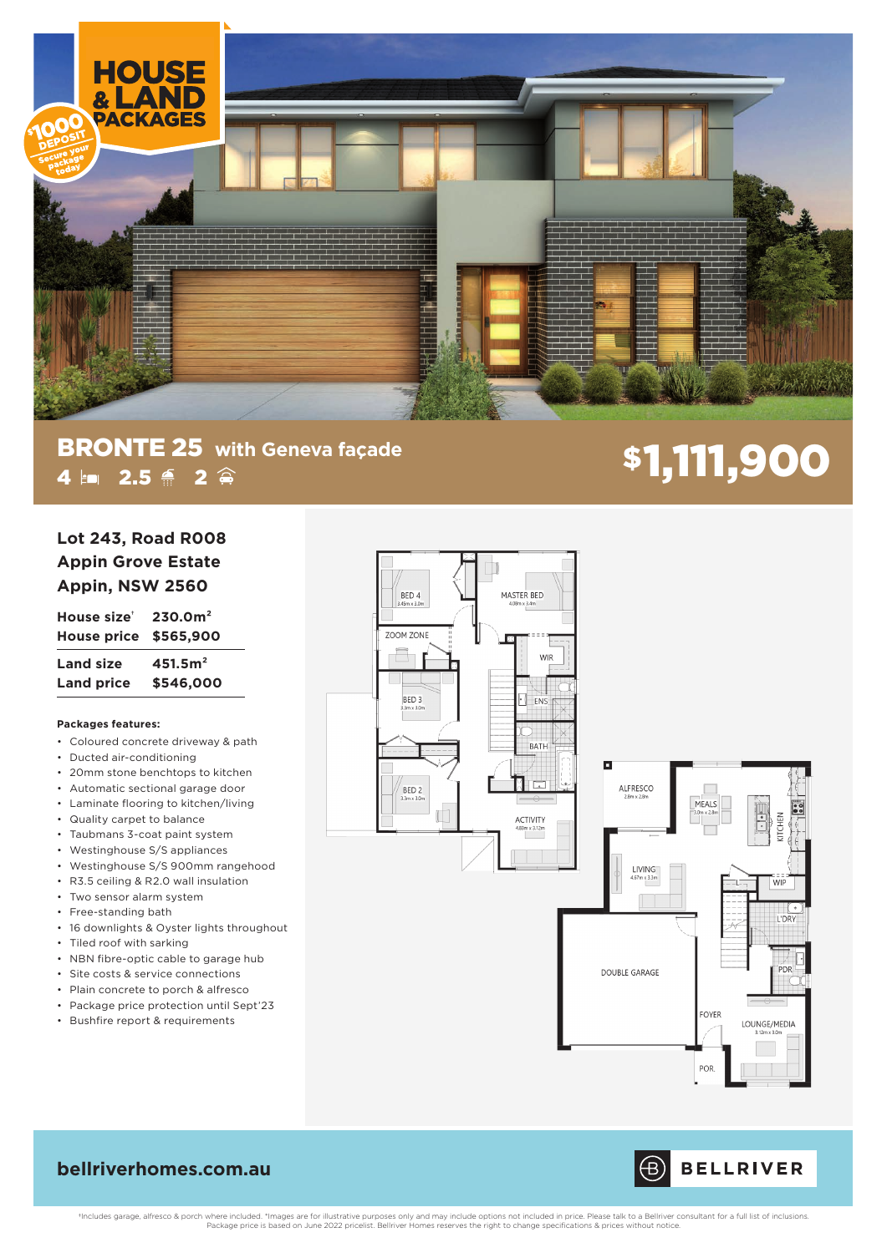

# **BRONTE 25** with Geneva façade<br>
4 **Em** 2.5  $\triangleq$  2  $\hat{\triangleq}$ 4 **m 2.5 é 2** ê

## **Lot 243, Road R008 Appin Grove Estate Appin, NSW 2560**

**House size† 230.0m² House price \$565,900 Land size 451.5m² Land price \$546,000**

### **Packages features:**

- Coloured concrete driveway & path
- Ducted air-conditioning
- 20mm stone benchtops to kitchen
- Automatic sectional garage door
- Laminate flooring to kitchen/living
- Quality carpet to balance
- Taubmans 3-coat paint system
- Westinghouse S/S appliances
- Westinghouse S/S 900mm rangehood
- R3.5 ceiling & R2.0 wall insulation
- Two sensor alarm system
- Free-standing bath
- 16 downlights & Oyster lights throughout
- Tiled roof with sarking
- NBN fibre-optic cable to garage hub
- Site costs & service connections
- Plain concrete to porch & alfresco
- Package price protection until Sept'23
- Bushfire report & requirements







## **bellriverhomes.com.au**